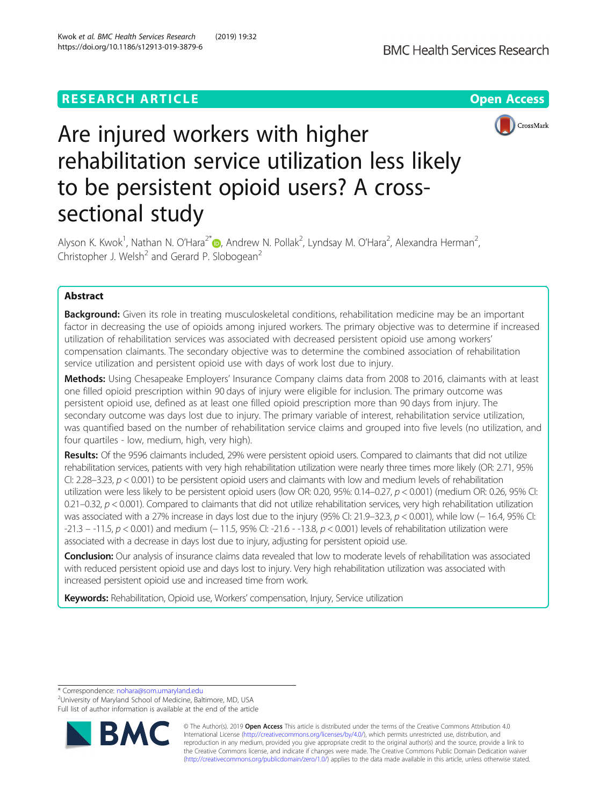# **RESEARCH ARTICLE Example 2018 12:30 THE Open Access**





# Are injured workers with higher rehabilitation service utilization less likely to be persistent opioid users? A crosssectional study

Alyson K. Kwok<sup>1</sup>[,](http://orcid.org/0000-0003-0537-3474) Nathan N. O'Hara<sup>2\*</sup>®, Andrew N. Pollak<sup>2</sup>, Lyndsay M. O'Hara<sup>2</sup>, Alexandra Herman<sup>2</sup> , Christopher J. Welsh<sup>2</sup> and Gerard P. Slobogean<sup>2</sup>

# Abstract

**Background:** Given its role in treating musculoskeletal conditions, rehabilitation medicine may be an important factor in decreasing the use of opioids among injured workers. The primary objective was to determine if increased utilization of rehabilitation services was associated with decreased persistent opioid use among workers' compensation claimants. The secondary objective was to determine the combined association of rehabilitation service utilization and persistent opioid use with days of work lost due to injury.

Methods: Using Chesapeake Employers' Insurance Company claims data from 2008 to 2016, claimants with at least one filled opioid prescription within 90 days of injury were eligible for inclusion. The primary outcome was persistent opioid use, defined as at least one filled opioid prescription more than 90 days from injury. The secondary outcome was days lost due to injury. The primary variable of interest, rehabilitation service utilization, was quantified based on the number of rehabilitation service claims and grouped into five levels (no utilization, and four quartiles - low, medium, high, very high).

Results: Of the 9596 claimants included, 29% were persistent opioid users. Compared to claimants that did not utilize rehabilitation services, patients with very high rehabilitation utilization were nearly three times more likely (OR: 2.71, 95% CI: 2.28–3.23,  $p < 0.001$ ) to be persistent opioid users and claimants with low and medium levels of rehabilitation utilization were less likely to be persistent opioid users (low OR: 0.20, 95%: 0.14–0.27,  $p < 0.001$ ) (medium OR: 0.26, 95% CI: 0.21–0.32,  $p < 0.001$ ). Compared to claimants that did not utilize rehabilitation services, very high rehabilitation utilization was associated with a 27% increase in days lost due to the injury (95% CI: 21.9–32.3, p < 0.001), while low (− 16.4, 95% CI:  $-21.3 - 11.5$ ,  $p < 0.001$ ) and medium (− 11.5, 95% CI: -21.6 - -13.8,  $p < 0.001$ ) levels of rehabilitation utilization were associated with a decrease in days lost due to injury, adjusting for persistent opioid use.

Conclusion: Our analysis of insurance claims data revealed that low to moderate levels of rehabilitation was associated with reduced persistent opioid use and days lost to injury. Very high rehabilitation utilization was associated with increased persistent opioid use and increased time from work.

Keywords: Rehabilitation, Opioid use, Workers' compensation, Injury, Service utilization

\* Correspondence: [nohara@som.umaryland.edu](mailto:nohara@som.umaryland.edu) <sup>2</sup>

University of Maryland School of Medicine, Baltimore, MD, USA Full list of author information is available at the end of the article



© The Author(s). 2019 **Open Access** This article is distributed under the terms of the Creative Commons Attribution 4.0 International License [\(http://creativecommons.org/licenses/by/4.0/](http://creativecommons.org/licenses/by/4.0/)), which permits unrestricted use, distribution, and reproduction in any medium, provided you give appropriate credit to the original author(s) and the source, provide a link to the Creative Commons license, and indicate if changes were made. The Creative Commons Public Domain Dedication waiver [\(http://creativecommons.org/publicdomain/zero/1.0/](http://creativecommons.org/publicdomain/zero/1.0/)) applies to the data made available in this article, unless otherwise stated.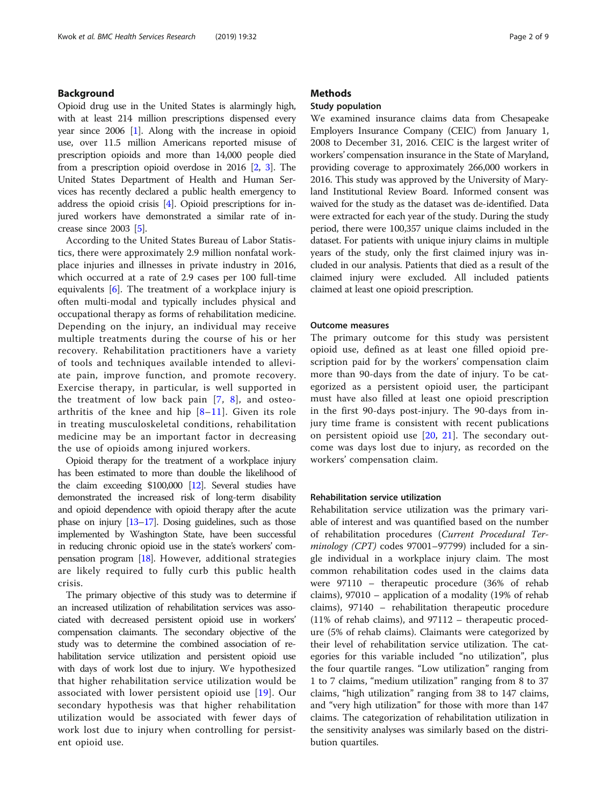# Background

Opioid drug use in the United States is alarmingly high, with at least 214 million prescriptions dispensed every year since 2006 [[1](#page-7-0)]. Along with the increase in opioid use, over 11.5 million Americans reported misuse of prescription opioids and more than 14,000 people died from a prescription opioid overdose in 2016 [\[2,](#page-7-0) [3](#page-7-0)]. The United States Department of Health and Human Services has recently declared a public health emergency to address the opioid crisis [\[4\]](#page-7-0). Opioid prescriptions for injured workers have demonstrated a similar rate of increase since 2003 [[5](#page-7-0)].

According to the United States Bureau of Labor Statistics, there were approximately 2.9 million nonfatal workplace injuries and illnesses in private industry in 2016, which occurred at a rate of 2.9 cases per 100 full-time equivalents [[6\]](#page-7-0). The treatment of a workplace injury is often multi-modal and typically includes physical and occupational therapy as forms of rehabilitation medicine. Depending on the injury, an individual may receive multiple treatments during the course of his or her recovery. Rehabilitation practitioners have a variety of tools and techniques available intended to alleviate pain, improve function, and promote recovery. Exercise therapy, in particular, is well supported in the treatment of low back pain [[7,](#page-7-0) [8](#page-7-0)], and osteoarthritis of the knee and hip  $[8-11]$  $[8-11]$  $[8-11]$  $[8-11]$ . Given its role in treating musculoskeletal conditions, rehabilitation medicine may be an important factor in decreasing the use of opioids among injured workers.

Opioid therapy for the treatment of a workplace injury has been estimated to more than double the likelihood of the claim exceeding \$100,000 [\[12](#page-7-0)]. Several studies have demonstrated the increased risk of long-term disability and opioid dependence with opioid therapy after the acute phase on injury [[13](#page-7-0)–[17\]](#page-7-0). Dosing guidelines, such as those implemented by Washington State, have been successful in reducing chronic opioid use in the state's workers' compensation program [\[18\]](#page-7-0). However, additional strategies are likely required to fully curb this public health crisis.

The primary objective of this study was to determine if an increased utilization of rehabilitation services was associated with decreased persistent opioid use in workers' compensation claimants. The secondary objective of the study was to determine the combined association of rehabilitation service utilization and persistent opioid use with days of work lost due to injury. We hypothesized that higher rehabilitation service utilization would be associated with lower persistent opioid use [\[19\]](#page-7-0). Our secondary hypothesis was that higher rehabilitation utilization would be associated with fewer days of work lost due to injury when controlling for persistent opioid use.

# **Methods**

# Study population

We examined insurance claims data from Chesapeake Employers Insurance Company (CEIC) from January 1, 2008 to December 31, 2016. CEIC is the largest writer of workers' compensation insurance in the State of Maryland, providing coverage to approximately 266,000 workers in 2016. This study was approved by the University of Maryland Institutional Review Board. Informed consent was waived for the study as the dataset was de-identified. Data were extracted for each year of the study. During the study period, there were 100,357 unique claims included in the dataset. For patients with unique injury claims in multiple years of the study, only the first claimed injury was included in our analysis. Patients that died as a result of the claimed injury were excluded. All included patients claimed at least one opioid prescription.

# Outcome measures

The primary outcome for this study was persistent opioid use, defined as at least one filled opioid prescription paid for by the workers' compensation claim more than 90-days from the date of injury. To be categorized as a persistent opioid user, the participant must have also filled at least one opioid prescription in the first 90-days post-injury. The 90-days from injury time frame is consistent with recent publications on persistent opioid use  $[20, 21]$  $[20, 21]$  $[20, 21]$  $[20, 21]$ . The secondary outcome was days lost due to injury, as recorded on the workers' compensation claim.

# Rehabilitation service utilization

Rehabilitation service utilization was the primary variable of interest and was quantified based on the number of rehabilitation procedures (Current Procedural Terminology (CPT) codes 97001-97799) included for a single individual in a workplace injury claim. The most common rehabilitation codes used in the claims data were 97110 – therapeutic procedure (36% of rehab claims), 97010 – application of a modality (19% of rehab claims), 97140 – rehabilitation therapeutic procedure (11% of rehab claims), and 97112 – therapeutic procedure (5% of rehab claims). Claimants were categorized by their level of rehabilitation service utilization. The categories for this variable included "no utilization", plus the four quartile ranges. "Low utilization" ranging from 1 to 7 claims, "medium utilization" ranging from 8 to 37 claims, "high utilization" ranging from 38 to 147 claims, and "very high utilization" for those with more than 147 claims. The categorization of rehabilitation utilization in the sensitivity analyses was similarly based on the distribution quartiles.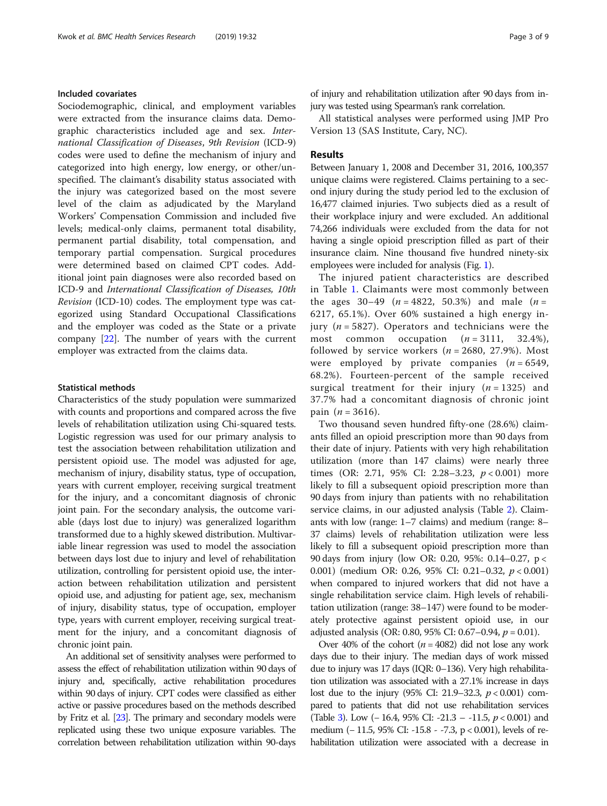# Included covariates

Sociodemographic, clinical, and employment variables were extracted from the insurance claims data. Demographic characteristics included age and sex. International Classification of Diseases, 9th Revision (ICD-9) codes were used to define the mechanism of injury and categorized into high energy, low energy, or other/unspecified. The claimant's disability status associated with the injury was categorized based on the most severe level of the claim as adjudicated by the Maryland Workers' Compensation Commission and included five levels; medical-only claims, permanent total disability, permanent partial disability, total compensation, and temporary partial compensation. Surgical procedures were determined based on claimed CPT codes. Additional joint pain diagnoses were also recorded based on ICD-9 and International Classification of Diseases, 10th Revision (ICD-10) codes. The employment type was categorized using Standard Occupational Classifications and the employer was coded as the State or a private company [\[22\]](#page-7-0). The number of years with the current employer was extracted from the claims data.

# Statistical methods

Characteristics of the study population were summarized with counts and proportions and compared across the five levels of rehabilitation utilization using Chi-squared tests. Logistic regression was used for our primary analysis to test the association between rehabilitation utilization and persistent opioid use. The model was adjusted for age, mechanism of injury, disability status, type of occupation, years with current employer, receiving surgical treatment for the injury, and a concomitant diagnosis of chronic joint pain. For the secondary analysis, the outcome variable (days lost due to injury) was generalized logarithm transformed due to a highly skewed distribution. Multivariable linear regression was used to model the association between days lost due to injury and level of rehabilitation utilization, controlling for persistent opioid use, the interaction between rehabilitation utilization and persistent opioid use, and adjusting for patient age, sex, mechanism of injury, disability status, type of occupation, employer type, years with current employer, receiving surgical treatment for the injury, and a concomitant diagnosis of chronic joint pain.

An additional set of sensitivity analyses were performed to assess the effect of rehabilitation utilization within 90 days of injury and, specifically, active rehabilitation procedures within 90 days of injury. CPT codes were classified as either active or passive procedures based on the methods described by Fritz et al. [\[23](#page-7-0)]. The primary and secondary models were replicated using these two unique exposure variables. The correlation between rehabilitation utilization within 90-days

of injury and rehabilitation utilization after 90 days from injury was tested using Spearman's rank correlation.

All statistical analyses were performed using JMP Pro Version 13 (SAS Institute, Cary, NC).

# Results

Between January 1, 2008 and December 31, 2016, 100,357 unique claims were registered. Claims pertaining to a second injury during the study period led to the exclusion of 16,477 claimed injuries. Two subjects died as a result of their workplace injury and were excluded. An additional 74,266 individuals were excluded from the data for not having a single opioid prescription filled as part of their insurance claim. Nine thousand five hundred ninety-six employees were included for analysis (Fig. [1\)](#page-3-0).

The injured patient characteristics are described in Table [1.](#page-4-0) Claimants were most commonly between the ages  $30-49$  ( $n = 4822$ , 50.3%) and male ( $n =$ 6217, 65.1%). Over 60% sustained a high energy injury ( $n = 5827$ ). Operators and technicians were the most common occupation  $(n = 3111, 32.4\%),$ followed by service workers  $(n = 2680, 27.9\%)$ . Most were employed by private companies  $(n = 6549,$ 68.2%). Fourteen-percent of the sample received surgical treatment for their injury  $(n = 1325)$  and 37.7% had a concomitant diagnosis of chronic joint pain  $(n = 3616)$ .

Two thousand seven hundred fifty-one (28.6%) claimants filled an opioid prescription more than 90 days from their date of injury. Patients with very high rehabilitation utilization (more than 147 claims) were nearly three times (OR: 2.71, 95% CI: 2.28–3.23,  $p < 0.001$ ) more likely to fill a subsequent opioid prescription more than 90 days from injury than patients with no rehabilitation service claims, in our adjusted analysis (Table [2](#page-5-0)). Claimants with low (range: 1–7 claims) and medium (range: 8– 37 claims) levels of rehabilitation utilization were less likely to fill a subsequent opioid prescription more than 90 days from injury (low OR: 0.20, 95%: 0.14–0.27, p < 0.001) (medium OR: 0.26, 95% CI: 0.21–0.32, p < 0.001) when compared to injured workers that did not have a single rehabilitation service claim. High levels of rehabilitation utilization (range: 38–147) were found to be moderately protective against persistent opioid use, in our adjusted analysis (OR: 0.80, 95% CI: 0.67-0.94,  $p = 0.01$ ).

Over 40% of the cohort ( $n = 4082$ ) did not lose any work days due to their injury. The median days of work missed due to injury was 17 days (IQR: 0–136). Very high rehabilitation utilization was associated with a 27.1% increase in days lost due to the injury (95% CI: 21.9–32.3,  $p < 0.001$ ) compared to patients that did not use rehabilitation services (Table [3](#page-5-0)). Low  $(-16.4, 95\% \text{ CI: } -21.3 - -11.5, p < 0.001)$  and medium (− 11.5, 95% CI: -15.8 - -7.3, p < 0.001), levels of rehabilitation utilization were associated with a decrease in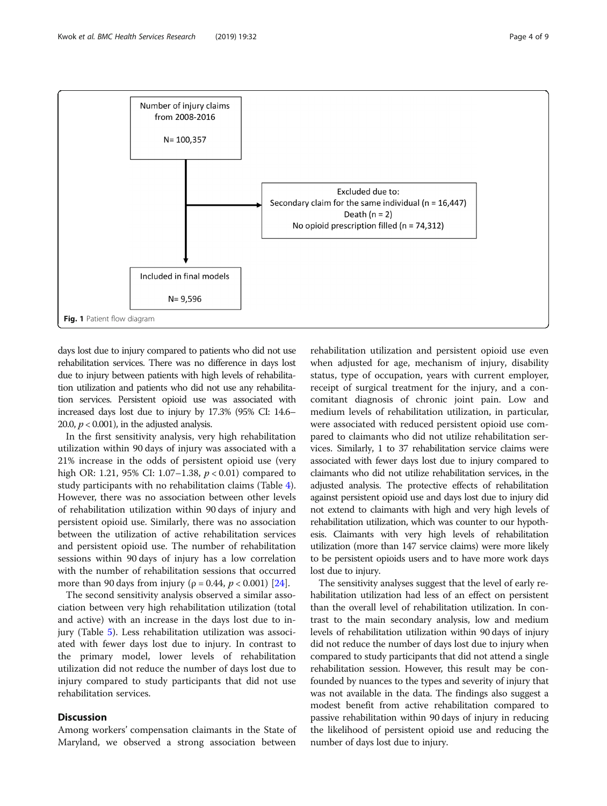<span id="page-3-0"></span>

days lost due to injury compared to patients who did not use rehabilitation services. There was no difference in days lost due to injury between patients with high levels of rehabilitation utilization and patients who did not use any rehabilitation services. Persistent opioid use was associated with increased days lost due to injury by 17.3% (95% CI: 14.6– 20.0,  $p < 0.001$ ), in the adjusted analysis.

In the first sensitivity analysis, very high rehabilitation utilization within 90 days of injury was associated with a 21% increase in the odds of persistent opioid use (very high OR: 1.21, 95% CI: 1.07–1.38,  $p < 0.01$ ) compared to study participants with no rehabilitation claims (Table [4](#page-5-0)). However, there was no association between other levels of rehabilitation utilization within 90 days of injury and persistent opioid use. Similarly, there was no association between the utilization of active rehabilitation services and persistent opioid use. The number of rehabilitation sessions within 90 days of injury has a low correlation with the number of rehabilitation sessions that occurred more than 90 days from injury ( $\rho = 0.44$ ,  $p < 0.001$ ) [[24](#page-7-0)].

The second sensitivity analysis observed a similar association between very high rehabilitation utilization (total and active) with an increase in the days lost due to injury (Table [5](#page-6-0)). Less rehabilitation utilization was associated with fewer days lost due to injury. In contrast to the primary model, lower levels of rehabilitation utilization did not reduce the number of days lost due to injury compared to study participants that did not use rehabilitation services.

# **Discussion**

Among workers' compensation claimants in the State of Maryland, we observed a strong association between

rehabilitation utilization and persistent opioid use even when adjusted for age, mechanism of injury, disability status, type of occupation, years with current employer, receipt of surgical treatment for the injury, and a concomitant diagnosis of chronic joint pain. Low and medium levels of rehabilitation utilization, in particular, were associated with reduced persistent opioid use compared to claimants who did not utilize rehabilitation services. Similarly, 1 to 37 rehabilitation service claims were associated with fewer days lost due to injury compared to claimants who did not utilize rehabilitation services, in the adjusted analysis. The protective effects of rehabilitation against persistent opioid use and days lost due to injury did not extend to claimants with high and very high levels of rehabilitation utilization, which was counter to our hypothesis. Claimants with very high levels of rehabilitation utilization (more than 147 service claims) were more likely to be persistent opioids users and to have more work days lost due to injury.

The sensitivity analyses suggest that the level of early rehabilitation utilization had less of an effect on persistent than the overall level of rehabilitation utilization. In contrast to the main secondary analysis, low and medium levels of rehabilitation utilization within 90 days of injury did not reduce the number of days lost due to injury when compared to study participants that did not attend a single rehabilitation session. However, this result may be confounded by nuances to the types and severity of injury that was not available in the data. The findings also suggest a modest benefit from active rehabilitation compared to passive rehabilitation within 90 days of injury in reducing the likelihood of persistent opioid use and reducing the number of days lost due to injury.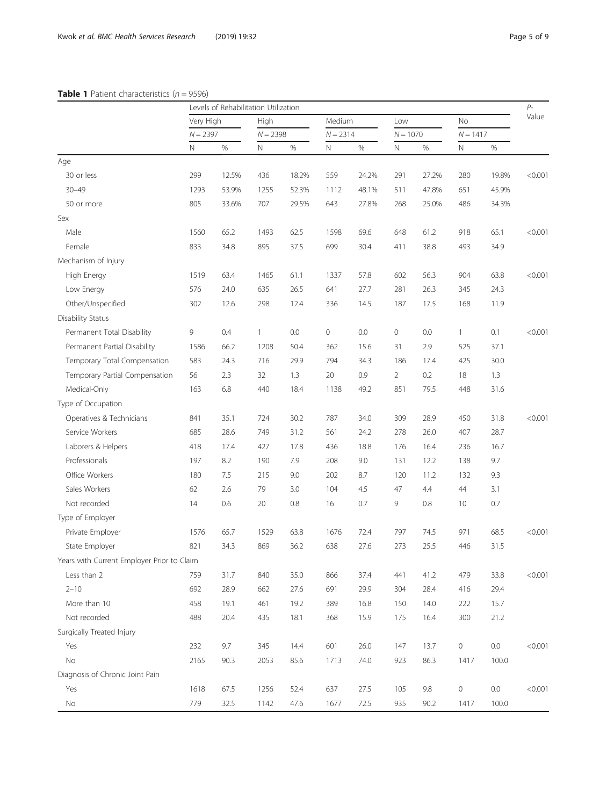# <span id="page-4-0"></span>**Table 1** Patient characteristics  $(n = 9596)$

|                                            | Levels of Rehabilitation Utilization |       |              |         |               |       | $P-$           |         |            |         |         |
|--------------------------------------------|--------------------------------------|-------|--------------|---------|---------------|-------|----------------|---------|------------|---------|---------|
|                                            | Very High                            |       | High         |         | Medium<br>Low |       |                | No      |            | Value   |         |
|                                            | $N = 2397$                           |       | $N = 2398$   |         | $N = 2314$    |       | $N = 1070$     |         | $N = 1417$ |         |         |
|                                            | $\mathsf N$                          | $\%$  | $\mathbb N$  | $\%$    | $\mathbb N$   | $\%$  | $\mathbb N$    | $\%$    | $\hbox{N}$ | $\%$    |         |
| Age                                        |                                      |       |              |         |               |       |                |         |            |         |         |
| 30 or less                                 | 299                                  | 12.5% | 436          | 18.2%   | 559           | 24.2% | 291            | 27.2%   | 280        | 19.8%   | < 0.001 |
| $30 - 49$                                  | 1293                                 | 53.9% | 1255         | 52.3%   | 1112          | 48.1% | 511            | 47.8%   | 651        | 45.9%   |         |
| 50 or more                                 | 805                                  | 33.6% | 707          | 29.5%   | 643           | 27.8% | 268            | 25.0%   | 486        | 34.3%   |         |
| Sex                                        |                                      |       |              |         |               |       |                |         |            |         |         |
| Male                                       | 1560                                 | 65.2  | 1493         | 62.5    | 1598          | 69.6  | 648            | 61.2    | 918        | 65.1    | < 0.001 |
| Female                                     | 833                                  | 34.8  | 895          | 37.5    | 699           | 30.4  | 411            | 38.8    | 493        | 34.9    |         |
| Mechanism of Injury                        |                                      |       |              |         |               |       |                |         |            |         |         |
| High Energy                                | 1519                                 | 63.4  | 1465         | 61.1    | 1337          | 57.8  | 602            | 56.3    | 904        | 63.8    | < 0.001 |
| Low Energy                                 | 576                                  | 24.0  | 635          | 26.5    | 641           | 27.7  | 281            | 26.3    | 345        | 24.3    |         |
| Other/Unspecified                          | 302                                  | 12.6  | 298          | 12.4    | 336           | 14.5  | 187            | 17.5    | 168        | 11.9    |         |
| Disability Status                          |                                      |       |              |         |               |       |                |         |            |         |         |
| Permanent Total Disability                 | 9                                    | 0.4   | $\mathbf{1}$ | 0.0     | $\mathbf 0$   | 0.0   | 0              | $0.0\,$ | 1          | 0.1     | < 0.001 |
| Permanent Partial Disability               | 1586                                 | 66.2  | 1208         | 50.4    | 362           | 15.6  | 31             | 2.9     | 525        | 37.1    |         |
| Temporary Total Compensation               | 583                                  | 24.3  | 716          | 29.9    | 794           | 34.3  | 186            | 17.4    | 425        | 30.0    |         |
| Temporary Partial Compensation             | 56                                   | 2.3   | 32           | 1.3     | 20            | 0.9   | $\overline{2}$ | 0.2     | 18         | 1.3     |         |
| Medical-Only                               | 163                                  | 6.8   | 440          | 18.4    | 1138          | 49.2  | 851            | 79.5    | 448        | 31.6    |         |
| Type of Occupation                         |                                      |       |              |         |               |       |                |         |            |         |         |
| Operatives & Technicians                   | 841                                  | 35.1  | 724          | 30.2    | 787           | 34.0  | 309            | 28.9    | 450        | 31.8    | < 0.001 |
| Service Workers                            | 685                                  | 28.6  | 749          | 31.2    | 561           | 24.2  | 278            | 26.0    | 407        | 28.7    |         |
| Laborers & Helpers                         | 418                                  | 17.4  | 427          | 17.8    | 436           | 18.8  | 176            | 16.4    | 236        | 16.7    |         |
| Professionals                              | 197                                  | 8.2   | 190          | 7.9     | 208           | 9.0   | 131            | 12.2    | 138        | 9.7     |         |
| Office Workers                             | 180                                  | 7.5   | 215          | 9.0     | 202           | 8.7   | 120            | 11.2    | 132        | 9.3     |         |
| Sales Workers                              | 62                                   | 2.6   | 79           | 3.0     | 104           | 4.5   | 47             | 4.4     | 44         | 3.1     |         |
| Not recorded                               | 14                                   | 0.6   | 20           | $0.8\,$ | 16            | 0.7   | 9              | $0.8\,$ | 10         | 0.7     |         |
| Type of Employer                           |                                      |       |              |         |               |       |                |         |            |         |         |
| Private Employer                           | 1576                                 | 65.7  | 1529         | 63.8    | 1676          | 72.4  | 797            | 74.5    | 971        | 68.5    | < 0.001 |
| State Employer                             | 821                                  | 34.3  | 869          | 36.2    | 638           | 27.6  | 273            | 25.5    | 446        | 31.5    |         |
| Years with Current Employer Prior to Claim |                                      |       |              |         |               |       |                |         |            |         |         |
| Less than 2                                | 759                                  | 31.7  | 840          | 35.0    | 866           | 37.4  | 441            | 41.2    | 479        | 33.8    | < 0.001 |
| $2 - 10$                                   | 692                                  | 28.9  | 662          | 27.6    | 691           | 29.9  | 304            | 28.4    | 416        | 29.4    |         |
| More than 10                               | 458                                  | 19.1  | 461          | 19.2    | 389           | 16.8  | 150            | 14.0    | 222        | 15.7    |         |
| Not recorded                               | 488                                  | 20.4  | 435          | 18.1    | 368           | 15.9  | 175            | 16.4    | 300        | 21.2    |         |
| Surgically Treated Injury                  |                                      |       |              |         |               |       |                |         |            |         |         |
| Yes                                        | 232                                  | 9.7   | 345          | 14.4    | 601           | 26.0  | 147            | 13.7    | 0          | $0.0\,$ | < 0.001 |
| No                                         | 2165                                 | 90.3  | 2053         | 85.6    | 1713          | 74.0  | 923            | 86.3    | 1417       | 100.0   |         |
| Diagnosis of Chronic Joint Pain            |                                      |       |              |         |               |       |                |         |            |         |         |
| Yes                                        | 1618                                 | 67.5  | 1256         | 52.4    | 637           | 27.5  | 105            | 9.8     | 0          | 0.0     | < 0.001 |
| No                                         | 779                                  | 32.5  | 1142         | 47.6    | 1677          | 72.5  | 935            | 90.2    | 1417       | 100.0   |         |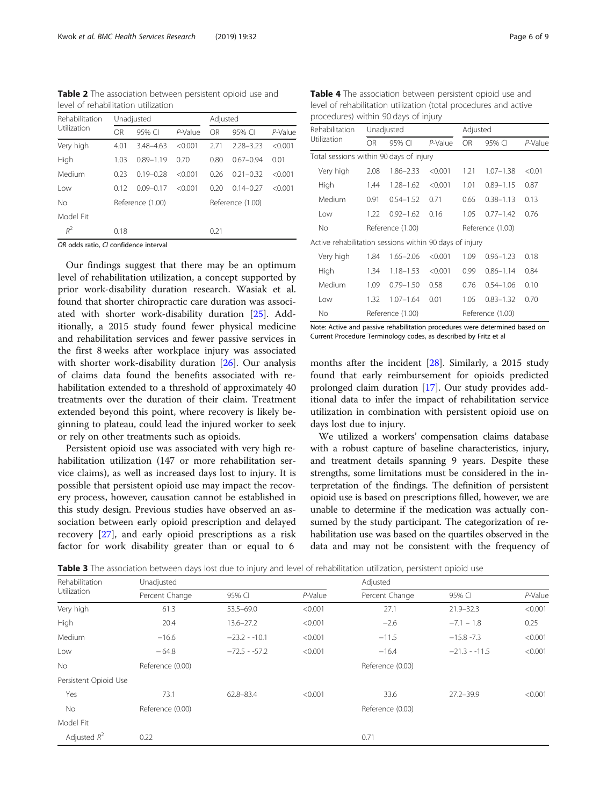<span id="page-5-0"></span>Table 2 The association between persistent opioid use and level of rehabilitation utilization

| Rehabilitation |                  | Unadjusted    |             | Adjusted         |               |         |  |
|----------------|------------------|---------------|-------------|------------------|---------------|---------|--|
| Utilization    | OR               | 95% CI        | $P-Value$   | OR               | 95% CI        | P-Value |  |
| Very high      | 4.01             | 3.48-4.63     | < 0.001     | 2.71             | 2.28-3.23     | < 0.001 |  |
| High           | 1.03             | $0.89 - 1.19$ | 0.70        | 0.80             | $0.67 - 0.94$ | 0.01    |  |
| Medium         | 023              | $0.19 - 0.28$ | $<$ 0 0 0 1 | 0.26             | $0.21 - 0.32$ | < 0.001 |  |
| l ow           | 0.12             | $0.09 - 0.17$ | $<$ 0 0 0 1 | 0.20             | $0.14 - 0.27$ | < 0.001 |  |
| No             | Reference (1.00) |               |             | Reference (1.00) |               |         |  |
| Model Fit      |                  |               |             |                  |               |         |  |
| $R^2$          | 0.18             |               |             | 0.21             |               |         |  |

OR odds ratio, CI confidence interval

Our findings suggest that there may be an optimum level of rehabilitation utilization, a concept supported by prior work-disability duration research. Wasiak et al. found that shorter chiropractic care duration was associated with shorter work-disability duration [[25](#page-7-0)]. Additionally, a 2015 study found fewer physical medicine and rehabilitation services and fewer passive services in the first 8 weeks after workplace injury was associated with shorter work-disability duration [[26\]](#page-7-0). Our analysis of claims data found the benefits associated with rehabilitation extended to a threshold of approximately 40 treatments over the duration of their claim. Treatment extended beyond this point, where recovery is likely beginning to plateau, could lead the injured worker to seek or rely on other treatments such as opioids.

Persistent opioid use was associated with very high rehabilitation utilization (147 or more rehabilitation service claims), as well as increased days lost to injury. It is possible that persistent opioid use may impact the recovery process, however, causation cannot be established in this study design. Previous studies have observed an association between early opioid prescription and delayed recovery [[27](#page-7-0)], and early opioid prescriptions as a risk factor for work disability greater than or equal to 6

Rehabilitation Utilization Unadjusted Adjusted OR 95% CI P-Value OR 95% CI P-Value Total sessions within 90 days of injury Very high 2.08 1.86–2.33 <0.001 1.21 1.07–1.38 <0.01 High 1.44 1.28–1.62 <0.001 1.01 0.89–1.15 0.87 Medium 0.91 0.54–1.52 0.71 0.65 0.38–1.13 0.13 Low 1.22 0.92–1.62 0.16 1.05 0.77–1.42 0.76 No Reference (1.00) Reference (1.00)

| Active rehabilitation sessions within 90 days of injury |      |                         |         |      |                  |       |  |  |
|---------------------------------------------------------|------|-------------------------|---------|------|------------------|-------|--|--|
| Very high                                               | 1.84 | $1.65 - 2.06 \le 0.001$ |         | 1.09 | 096-123          | 018   |  |  |
| High                                                    | 1 34 | $1.18 - 1.53$           | < 0.001 | O 99 | 0.86–1.14        | 0.84  |  |  |
| Medium                                                  | 1.09 | $0.79 - 1.50$           | 0.58    | 0.76 | 0.54–1.06        | 0.10  |  |  |
| l ow                                                    | 132  | $107 - 164$             | O 01    | 1 05 | 083-132          | (1/1) |  |  |
| Nο                                                      |      | Reference (1.00)        |         |      | Reference (1.00) |       |  |  |

Note: Active and passive rehabilitation procedures were determined based on Current Procedure Terminology codes, as described by Fritz et al

months after the incident [\[28](#page-8-0)]. Similarly, a 2015 study found that early reimbursement for opioids predicted prolonged claim duration [\[17](#page-7-0)]. Our study provides additional data to infer the impact of rehabilitation service utilization in combination with persistent opioid use on days lost due to injury.

We utilized a workers' compensation claims database with a robust capture of baseline characteristics, injury, and treatment details spanning 9 years. Despite these strengths, some limitations must be considered in the interpretation of the findings. The definition of persistent opioid use is based on prescriptions filled, however, we are unable to determine if the medication was actually consumed by the study participant. The categorization of rehabilitation use was based on the quartiles observed in the data and may not be consistent with the frequency of

Rehabilitation Utilization Unadjusted Adjusted Adjusted Adjusted Adjusted Adjusted Adjusted Adjusted Adjusted Adjusted Adjusted Adjusted Percent Change 35% CI and P-Value Percent Change 35% CI P-Value Very high 61.3 53.5–69.0 <0.001 27.1 21.9–32.3 <0.001 High 20.4 13.6–27.2 <0.001 −2.6 −7.1 – 1.8 0.25 Medium −16.6 −23.2 - -10.1 <0.001 −11.5 −15.8 -7.3 <0.001 Low − 64.8 −72.5 - -57.2 <0.001 −16.4 −21.3 - -11.5 <0.001 No Reference (0.00) Reference (0.00) Persistent Opioid Use Yes 73.1 62.8–83.4 <0.001 33.6 27.2–39.9 <0.001 No Reference (0.00) Reference (0.00) Model Fit Adjusted  $R^2$  0.22 0.71

Table 3 The association between days lost due to injury and level of rehabilitation utilization, persistent opioid use

Table 4 The association between persistent opioid use and level of rehabilitation utilization (total procedures and active procedures) within 90 days of injury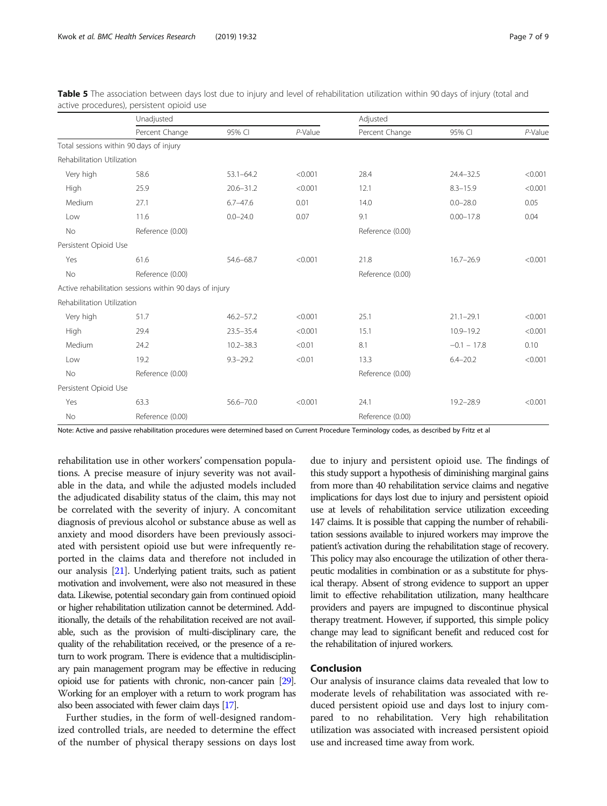|                            | Unadjusted                                              |               |            | Adjusted         |                  |            |  |  |
|----------------------------|---------------------------------------------------------|---------------|------------|------------------|------------------|------------|--|--|
|                            | Percent Change                                          | 95% CI        | $P$ -Value | Percent Change   | 95% CI           | $P$ -Value |  |  |
|                            | Total sessions within 90 days of injury                 |               |            |                  |                  |            |  |  |
| Rehabilitation Utilization |                                                         |               |            |                  |                  |            |  |  |
| Very high                  | 58.6                                                    | $53.1 - 64.2$ | < 0.001    | 28.4             | $24.4 - 32.5$    | < 0.001    |  |  |
| High                       | 25.9                                                    | $20.6 - 31.2$ | < 0.001    | 12.1             | $8.3 - 15.9$     | < 0.001    |  |  |
| Medium                     | 27.1                                                    | $6.7 - 47.6$  | 0.01       | 14.0             | $0.0 - 28.0$     | 0.05       |  |  |
| Low                        | 11.6                                                    | $0.0 - 24.0$  | 0.07       | 9.1              | $0.00 - 17.8$    | 0.04       |  |  |
| No                         | Reference (0.00)                                        |               |            | Reference (0.00) |                  |            |  |  |
| Persistent Opioid Use      |                                                         |               |            |                  |                  |            |  |  |
| Yes                        | 61.6                                                    | 54.6-68.7     | < 0.001    | 21.8             | $16.7 - 26.9$    | < 0.001    |  |  |
| No                         | Reference (0.00)                                        |               |            |                  | Reference (0.00) |            |  |  |
|                            | Active rehabilitation sessions within 90 days of injury |               |            |                  |                  |            |  |  |
| Rehabilitation Utilization |                                                         |               |            |                  |                  |            |  |  |
| Very high                  | 51.7                                                    | $46.2 - 57.2$ | < 0.001    | 25.1             | $21.1 - 29.1$    | < 0.001    |  |  |
| High                       | 29.4                                                    | $23.5 - 35.4$ | < 0.001    | 15.1             | $10.9 - 19.2$    | < 0.001    |  |  |
| Medium                     | 24.2                                                    | $10.2 - 38.3$ | < 0.01     | 8.1              | $-0.1 - 17.8$    | 0.10       |  |  |
| Low                        | 19.2                                                    | $9.3 - 29.2$  | < 0.01     | 13.3             | $6.4 - 20.2$     | < 0.001    |  |  |
| No                         | Reference (0.00)                                        |               |            | Reference (0.00) |                  |            |  |  |
| Persistent Opioid Use      |                                                         |               |            |                  |                  |            |  |  |
| Yes                        | 63.3                                                    | 56.6-70.0     | < 0.001    | 24.1             | 19.2-28.9        | < 0.001    |  |  |
| <b>No</b>                  | Reference (0.00)                                        |               |            | Reference (0.00) |                  |            |  |  |

<span id="page-6-0"></span>Table 5 The association between days lost due to injury and level of rehabilitation utilization within 90 days of injury (total and active procedures), persistent opioid use

Note: Active and passive rehabilitation procedures were determined based on Current Procedure Terminology codes, as described by Fritz et al

rehabilitation use in other workers' compensation populations. A precise measure of injury severity was not available in the data, and while the adjusted models included the adjudicated disability status of the claim, this may not be correlated with the severity of injury. A concomitant diagnosis of previous alcohol or substance abuse as well as anxiety and mood disorders have been previously associated with persistent opioid use but were infrequently reported in the claims data and therefore not included in our analysis [\[21](#page-7-0)]. Underlying patient traits, such as patient motivation and involvement, were also not measured in these data. Likewise, potential secondary gain from continued opioid or higher rehabilitation utilization cannot be determined. Additionally, the details of the rehabilitation received are not available, such as the provision of multi-disciplinary care, the quality of the rehabilitation received, or the presence of a return to work program. There is evidence that a multidisciplinary pain management program may be effective in reducing opioid use for patients with chronic, non-cancer pain [[29\]](#page-8-0). Working for an employer with a return to work program has also been associated with fewer claim days [\[17](#page-7-0)].

Further studies, in the form of well-designed randomized controlled trials, are needed to determine the effect of the number of physical therapy sessions on days lost

due to injury and persistent opioid use. The findings of this study support a hypothesis of diminishing marginal gains from more than 40 rehabilitation service claims and negative implications for days lost due to injury and persistent opioid use at levels of rehabilitation service utilization exceeding 147 claims. It is possible that capping the number of rehabilitation sessions available to injured workers may improve the patient's activation during the rehabilitation stage of recovery. This policy may also encourage the utilization of other therapeutic modalities in combination or as a substitute for physical therapy. Absent of strong evidence to support an upper limit to effective rehabilitation utilization, many healthcare providers and payers are impugned to discontinue physical therapy treatment. However, if supported, this simple policy change may lead to significant benefit and reduced cost for the rehabilitation of injured workers.

# Conclusion

Our analysis of insurance claims data revealed that low to moderate levels of rehabilitation was associated with reduced persistent opioid use and days lost to injury compared to no rehabilitation. Very high rehabilitation utilization was associated with increased persistent opioid use and increased time away from work.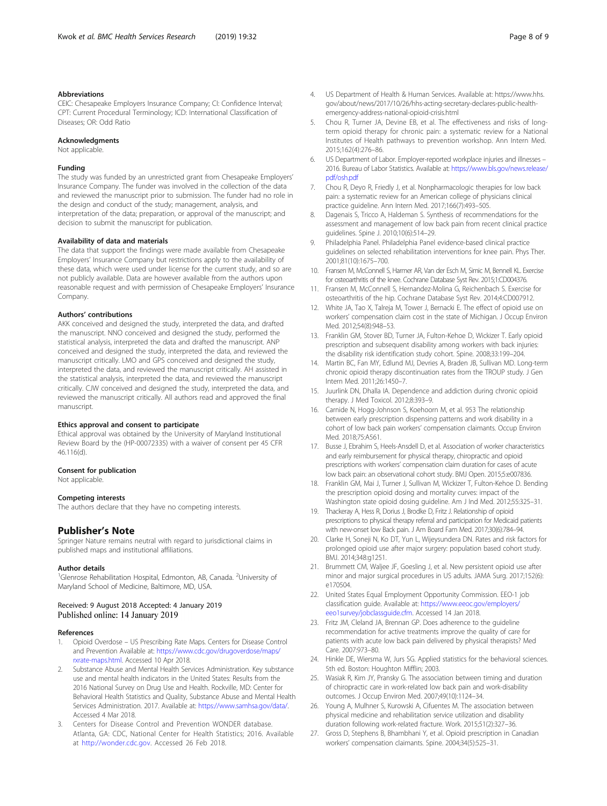# <span id="page-7-0"></span>Abbreviations

CEIC: Chesapeake Employers Insurance Company; CI: Confidence Interval; CPT: Current Procedural Terminology; ICD: International Classification of Diseases; OR: Odd Ratio

# Acknowledgments

Not applicable.

#### Funding

The study was funded by an unrestricted grant from Chesapeake Employers' Insurance Company. The funder was involved in the collection of the data and reviewed the manuscript prior to submission. The funder had no role in the design and conduct of the study; management, analysis, and interpretation of the data; preparation, or approval of the manuscript; and decision to submit the manuscript for publication.

#### Availability of data and materials

The data that support the findings were made available from Chesapeake Employers' Insurance Company but restrictions apply to the availability of these data, which were used under license for the current study, and so are not publicly available. Data are however available from the authors upon reasonable request and with permission of Chesapeake Employers' Insurance Company.

#### Authors' contributions

AKK conceived and designed the study, interpreted the data, and drafted the manuscript. NNO conceived and designed the study, performed the statistical analysis, interpreted the data and drafted the manuscript. ANP conceived and designed the study, interpreted the data, and reviewed the manuscript critically. LMO and GPS conceived and designed the study, interpreted the data, and reviewed the manuscript critically. AH assisted in the statistical analysis, interpreted the data, and reviewed the manuscript critically. CJW conceived and designed the study, interpreted the data, and reviewed the manuscript critically. All authors read and approved the final manuscript.

#### Ethics approval and consent to participate

Ethical approval was obtained by the University of Maryland Institutional Review Board by the (HP-00072335) with a waiver of consent per 45 CFR 46.116(d).

#### Consent for publication

Not applicable.

#### Competing interests

The authors declare that they have no competing interests.

# Publisher's Note

Springer Nature remains neutral with regard to jurisdictional claims in published maps and institutional affiliations.

#### Author details

<sup>1</sup>Glenrose Rehabilitation Hospital, Edmonton, AB, Canada. <sup>2</sup>University of Maryland School of Medicine, Baltimore, MD, USA.

# Received: 9 August 2018 Accepted: 4 January 2019 Published online: 14 January 2019

#### References

- 1. Opioid Overdose US Prescribing Rate Maps. Centers for Disease Control and Prevention Available at: [https://www.cdc.gov/drugoverdose/maps/](https://www.cdc.gov/drugoverdose/maps/rxrate-maps.html) [rxrate-maps.html.](https://www.cdc.gov/drugoverdose/maps/rxrate-maps.html) Accessed 10 Apr 2018.
- 2. Substance Abuse and Mental Health Services Administration. Key substance use and mental health indicators in the United States: Results from the 2016 National Survey on Drug Use and Health. Rockville, MD: Center for Behavioral Health Statistics and Quality, Substance Abuse and Mental Health Services Administration. 2017. Available at: <https://www.samhsa.gov/data/>. Accessed 4 Mar 2018.
- Centers for Disease Control and Prevention WONDER database. Atlanta, GA: CDC, National Center for Health Statistics; 2016. Available at [http://wonder.cdc.gov.](http://wonder.cdc.gov) Accessed 26 Feb 2018.
- 4. US Department of Health & Human Services. Available at: https://www.hhs. gov/about/news/2017/10/26/hhs-acting-secretary-declares-public-healthemergency-address-national-opioid-crisis.html
- 5. Chou R, Turner JA, Devine EB, et al. The effectiveness and risks of longterm opioid therapy for chronic pain: a systematic review for a National Institutes of Health pathways to prevention workshop. Ann Intern Med. 2015;162(4):276–86.
- 6. US Department of Labor. Employer-reported workplace injuries and illnesses 2016. Bureau of Labor Statistics. Available at: [https://www.bls.gov/news.release/](https://www.bls.gov/news.release/pdf/osh.pdf) [pdf/osh.pdf](https://www.bls.gov/news.release/pdf/osh.pdf)
- 7. Chou R, Deyo R, Friedly J, et al. Nonpharmacologic therapies for low back pain: a systematic review for an American college of physicians clinical practice guideline. Ann Intern Med. 2017;166(7):493–505.
- 8. Dagenais S, Tricco A, Haldeman S. Synthesis of recommendations for the assessment and management of low back pain from recent clinical practice guidelines. Spine J. 2010;10(6):514–29.
- 9. Philadelphia Panel. Philadelphia Panel evidence-based clinical practice guidelines on selected rehabilitation interventions for knee pain. Phys Ther. 2001;81(10):1675–700.
- 10. Fransen M, McConnell S, Harmer AR, Van der Esch M, Simic M, Bennell KL. Exercise for osteoarthritis of the knee. Cochrane Database Syst Rev. 2015;1:CD004376.
- 11. Fransen M, McConnell S, Hernandez-Molina G, Reichenbach S. Exercise for osteoarthritis of the hip. Cochrane Database Syst Rev. 2014;4:CD007912.
- 12. White JA, Tao X, Talreja M, Tower J, Bernacki E. The effect of opioid use on workers' compensation claim cost in the state of Michigan. J Occup Environ Med. 2012;54(8):948–53.
- 13. Franklin GM, Stover BD, Turner JA, Fulton-Kehoe D, Wickizer T. Early opioid prescription and subsequent disability among workers with back injuries: the disability risk identification study cohort. Spine. 2008;33:199–204.
- 14. Martin BC, Fan MY, Edlund MJ, Devries A, Braden JB, Sullivan MD. Long-term chronic opioid therapy discontinuation rates from the TROUP study. J Gen Intern Med. 2011;26:1450–7.
- 15. Juurlink DN, Dhalla IA. Dependence and addiction during chronic opioid therapy. J Med Toxicol. 2012;8:393–9.
- 16. Carnide N, Hogg-Johnson S, Koehoorn M, et al. 953 The relationship between early prescription dispensing patterns and work disability in a cohort of low back pain workers' compensation claimants. Occup Environ Med. 2018;75:A561.
- 17. Busse J, Ebrahim S, Heels-Ansdell D, et al. Association of worker characteristics and early reimbursement for physical therapy, chiropractic and opioid prescriptions with workers' compensation claim duration for cases of acute low back pain: an observational cohort study. BMJ Open. 2015;5:e007836.
- 18. Franklin GM, Mai J, Turner J, Sullivan M, Wickizer T, Fulton-Kehoe D. Bending the prescription opioid dosing and mortality curves: impact of the Washington state opioid dosing guideline. Am J Ind Med. 2012;55:325–31.
- 19. Thackeray A, Hess R, Dorius J, Brodke D, Fritz J. Relationship of opioid prescriptions to physical therapy referral and participation for Medicaid patients with new-onset low Back pain. J Am Board Fam Med. 2017;30(6):784–94.
- 20. Clarke H, Soneji N, Ko DT, Yun L, Wijeysundera DN. Rates and risk factors for prolonged opioid use after major surgery: population based cohort study. BMJ. 2014;348:g1251.
- 21. Brummett CM, Waljee JF, Goesling J, et al. New persistent opioid use after minor and major surgical procedures in US adults. JAMA Surg. 2017;152(6): e170504.
- 22. United States Equal Employment Opportunity Commission. EEO-1 job classification guide. Available at: [https://www.eeoc.gov/employers/](https://www.eeoc.gov/employers/eeo1survey/jobclassguide.cfm) eeo1survey/jobclassquide.cfm. Accessed 14 Jan 2018.
- 23. Fritz JM, Cleland JA, Brennan GP. Does adherence to the guideline recommendation for active treatments improve the quality of care for patients with acute low back pain delivered by physical therapists? Med Care. 2007:973–80.
- 24. Hinkle DE, Wiersma W, Jurs SG. Applied statistics for the behavioral sciences. 5th ed. Boston: Houghton Mifflin; 2003.
- 25. Wasiak R, Kim JY, Pransky G. The association between timing and duration of chiropractic care in work-related low back pain and work-disability outcomes. J Occup Environ Med. 2007;49(10):1124–34.
- 26. Young A, Mulhner S, Kurowski A, Cifuentes M. The association between physical medicine and rehabilitation service utilization and disability duration following work-related fracture. Work. 2015;51(2):327–36.
- 27. Gross D, Stephens B, Bhambhani Y, et al. Opioid prescription in Canadian workers' compensation claimants. Spine. 2004;34(5):525–31.